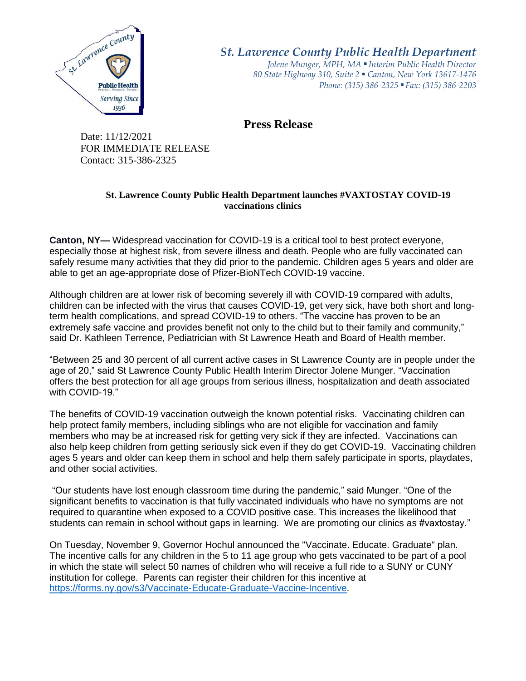

*St. Lawrence County Public Health Department*

*Jolene Munger, MPH, MA ■ Interim Public Health Director 80 State Highway 310, Suite 2 ■ Canton, New York 13617-1476 Phone: (315) 386-2325* ■ *Fax: (315) 386-2203*

**Press Release** 

Date: 11/12/2021 FOR IMMEDIATE RELEASE Contact: 315-386-2325

## **St. Lawrence County Public Health Department launches #VAXTOSTAY COVID-19 vaccinations clinics**

**Canton, NY—** Widespread vaccination for COVID-19 is a critical tool to best protect everyone, especially those at highest risk, from severe illness and death. People who are fully vaccinated can safely resume many activities that they did prior to the pandemic. Children ages 5 years and older are able to get an age-appropriate dose of [Pfizer-BioNTech COVID-19 vaccine.](https://www.cdc.gov/coronavirus/2019-ncov/vaccines/different-vaccines/Pfizer-BioNTech.html)

Although children are at lower risk of becoming severely ill with COVID-19 compared with adults, children can be infected with the virus that causes COVID-19, get very sick, have both short and longterm health complications, and spread COVID-19 to others. "The vaccine has proven to be an extremely safe vaccine and provides benefit not only to the child but to their family and community," said Dr. Kathleen Terrence, Pediatrician with St Lawrence Heath and Board of Health member.

"Between 25 and 30 percent of all current active cases in St Lawrence County are in people under the age of 20," said St Lawrence County Public Health Interim Director Jolene Munger. "Vaccination offers the best protection for all age groups from serious illness, hospitalization and death associated with COVID-19."

The benefits of COVID-19 vaccination outweigh the known potential risks. Vaccinating children can help protect family members, including siblings who are not eligible for vaccination and family members who may be at increased risk for getting very sick if they are infected. Vaccinations can also help keep children from getting seriously sick even if they do get COVID-19. Vaccinating children ages 5 years and older can keep them in school and help them safely participate in sports, playdates, and other social activities.

"Our students have lost enough classroom time during the pandemic," said Munger. "One of the significant benefits to vaccination is that fully vaccinated individuals who have no symptoms are not required to quarantine when exposed to a COVID positive case. This increases the likelihood that students can remain in school without gaps in learning. We are promoting our clinics as #vaxtostay."

On Tuesday, November 9, Governor Hochul announced the "Vaccinate. Educate. Graduate" plan. The incentive calls for any children in the 5 to 11 age group who gets vaccinated to be part of a pool in which the state will select 50 names of children who will receive a full ride to a SUNY or CUNY institution for college. Parents can register their children for this incentive at [https://forms.ny.gov/s3/Vaccinate-Educate-Graduate-Vaccine-Incentive.](https://forms.ny.gov/s3/Vaccinate-Educate-Graduate-Vaccine-Incentive)